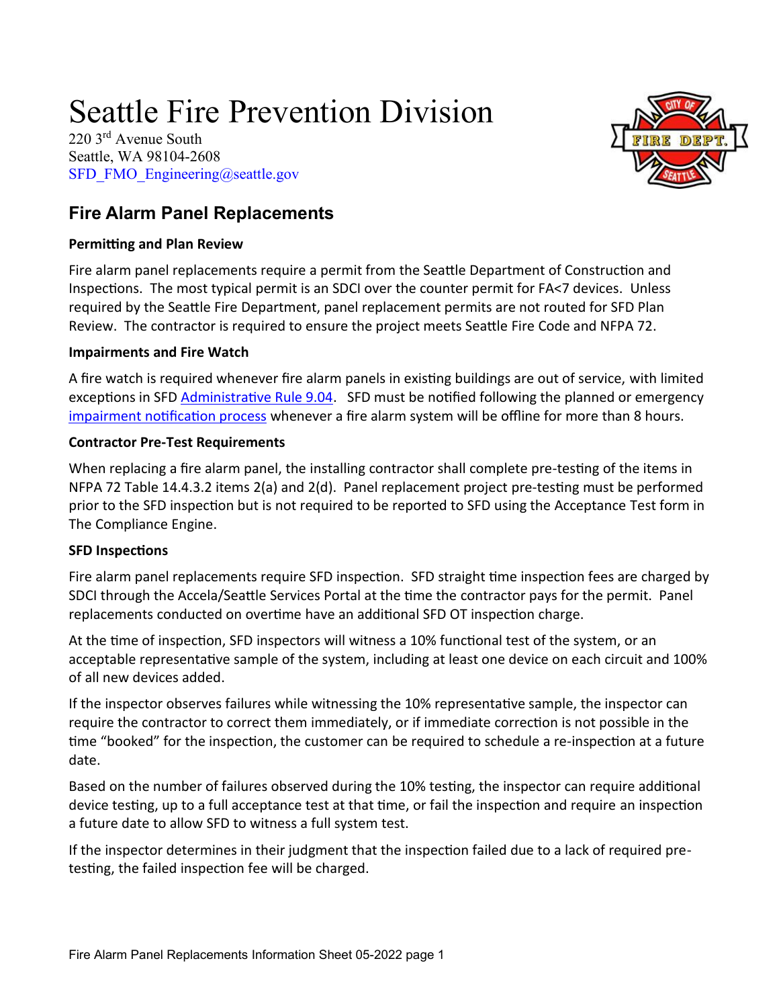# Seattle Fire Prevention Division

220 3rd Avenue South Seattle, WA 98104-2608 [SFD\\_FMO\\_Engineering@seattle.gov](mailto:SFD_FMO_Engineering@seattle.gov)



## **Fire Alarm Panel Replacements**

#### **Permitting and Plan Review**

Fire alarm panel replacements require a permit from the Seattle Department of Construction and Inspections. The most typical permit is an SDCI over the counter permit for FA<7 devices. Unless required by the Seattle Fire Department, panel replacement permits are not routed for SFD Plan Review. The contractor is required to ensure the project meets Seattle Fire Code and NFPA 72.

#### **Impairments and Fire Watch**

A fire watch is required whenever fire alarm panels in existing buildings are out of service, with limited exceptions in SFD [Administrative Rule 9.04.](http://www.seattle.gov/fire/business-services/fire-code-and-fire-safety-documents#administrativerules) SFD must be notified following the planned or emergency [impairment notification process](http://www.seattle.gov/fire/business-services/systems-testing#impairedsystems) whenever a fire alarm system will be offline for more than 8 hours.

#### **Contractor Pre-Test Requirements**

When replacing a fire alarm panel, the installing contractor shall complete pre-testing of the items in NFPA 72 Table 14.4.3.2 items 2(a) and 2(d). Panel replacement project pre-testing must be performed prior to the SFD inspection but is not required to be reported to SFD using the Acceptance Test form in The Compliance Engine.

### **SFD Inspections**

Fire alarm panel replacements require SFD inspection. SFD straight time inspection fees are charged by SDCI through the Accela/Seattle Services Portal at the time the contractor pays for the permit. Panel replacements conducted on overtime have an additional SFD OT inspection charge.

At the time of inspection, SFD inspectors will witness a 10% functional test of the system, or an acceptable representative sample of the system, including at least one device on each circuit and 100% of all new devices added.

If the inspector observes failures while witnessing the 10% representative sample, the inspector can require the contractor to correct them immediately, or if immediate correction is not possible in the time "booked" for the inspection, the customer can be required to schedule a re-inspection at a future date.

Based on the number of failures observed during the 10% testing, the inspector can require additional device testing, up to a full acceptance test at that time, or fail the inspection and require an inspection a future date to allow SFD to witness a full system test.

If the inspector determines in their judgment that the inspection failed due to a lack of required pretesting, the failed inspection fee will be charged.